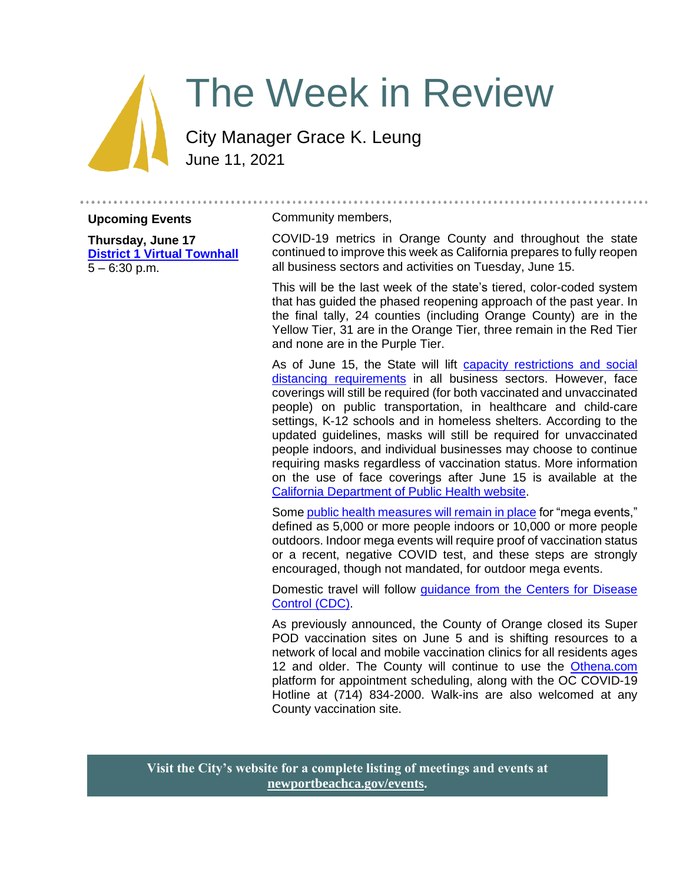# The Week in Review

City Manager Grace K. Leung June 11, 2021

**Upcoming Events**

**Thursday, June 17 [District 1 Virtual Townhall](https://www.newportbeachca.gov/Home/Components/Calendar/Event/66756/72)**  $5 - 6:30$  p.m.

#### Community members,

COVID-19 metrics in Orange County and throughout the state continued to improve this week as California prepares to fully reopen all business sectors and activities on Tuesday, June 15.

This will be the last week of the state's tiered, color-coded system that has guided the phased reopening approach of the past year. In the final tally, 24 counties (including Orange County) are in the Yellow Tier, 31 are in the Orange Tier, three remain in the Red Tier and none are in the Purple Tier.

As of June 15, the State will lift [capacity restrictions and social](https://www.cdph.ca.gov/Programs/CID/DCDC/CDPH%20Document%20Library/COVID-19/What-Will-June-15-Look-Like.pdf)  [distancing requirements](https://www.cdph.ca.gov/Programs/CID/DCDC/CDPH%20Document%20Library/COVID-19/What-Will-June-15-Look-Like.pdf) in all business sectors. However, face coverings will still be required (for both vaccinated and unvaccinated people) on public transportation, in healthcare and child-care settings, K-12 schools and in homeless shelters. According to the updated guidelines, masks will still be required for unvaccinated people indoors, and individual businesses may choose to continue requiring masks regardless of vaccination status. More information on the use of face coverings after June 15 is available at the [California Department of Public Health website.](https://www.cdph.ca.gov/Programs/CID/DCDC/Pages/COVID-19/guidance-for-face-coverings.aspx#June15guidance)

Some [public health measures will remain in place](https://www.cdph.ca.gov/Programs/CID/DCDC/Pages/COVID-19/Beyond-Blueprint-Framework.aspx) for "mega events," defined as 5,000 or more people indoors or 10,000 or more people outdoors. Indoor mega events will require proof of vaccination status or a recent, negative COVID test, and these steps are strongly encouraged, though not mandated, for outdoor mega events.

Domestic travel will follow quidance from the Centers for Disease [Control \(CDC\).](https://www.cdc.gov/coronavirus/2019-ncov/travelers/travel-during-covid19.html)

As previously announced, the County of Orange closed its Super POD vaccination sites on June 5 and is shifting resources to a network of local and mobile vaccination clinics for all residents ages 12 and older. The County will continue to use the [Othena.com](https://www.othena.com/) platform for appointment scheduling, along with the OC COVID-19 Hotline at (714) 834-2000. Walk-ins are also welcomed at any County vaccination site.

**Visit the City's website for a complete listing of meetings and events at [newportbeachca.gov/events.](https://www.newportbeachca.gov/government/data-hub/city-calendar)**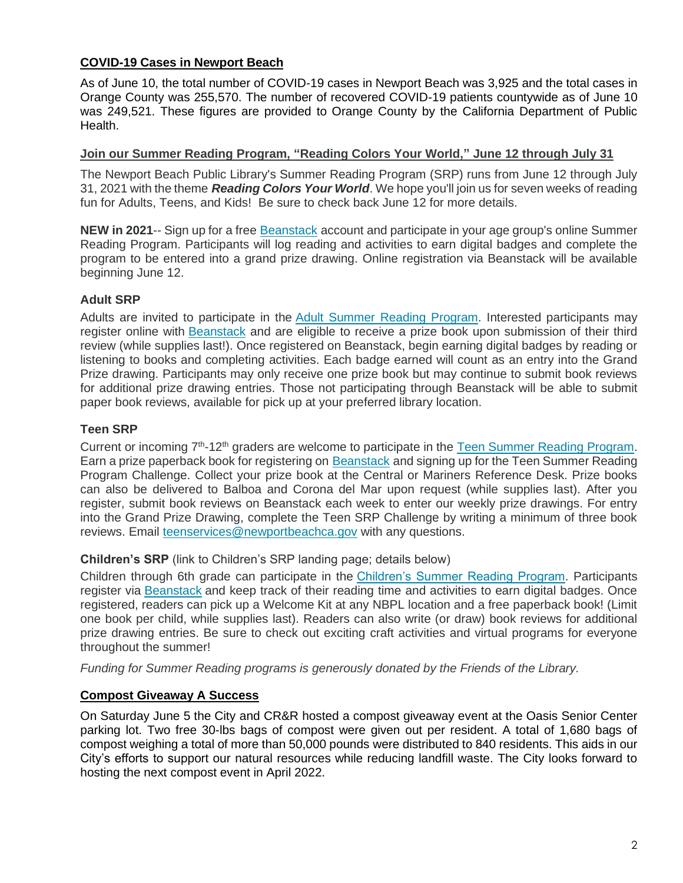# **COVID-19 Cases in Newport Beach**

As of June 10, the total number of COVID-19 cases in Newport Beach was 3,925 and the total cases in Orange County was 255,570. The number of recovered COVID-19 patients countywide as of June 10 was 249,521. These figures are provided to Orange County by the California Department of Public Health.

### **Join our Summer Reading Program, "Reading Colors Your World," June 12 through July 31**

The Newport Beach Public Library's Summer Reading Program (SRP) runs from June 12 through July 31, 2021 with the theme *Reading Colors Your World*. We hope you'll join us for seven weeks of reading fun for Adults, Teens, and Kids! Be sure to check back June 12 for more details.

**NEW in 2021**-- Sign up for a free [Beanstack](https://newportbeachlibrary.beanstack.com/) account and participate in your age group's online Summer Reading Program. Participants will log reading and activities to earn digital badges and complete the program to be entered into a grand prize drawing. Online registration via Beanstack will be available beginning June 12.

# **Adult SRP**

Adults are invited to participate in the [Adult Summer Reading Program.](http://www.newportbeachlibrary.org/calendar/summer-reading-program/summer-reading-program) Interested participants may register online with [Beanstack](https://newportbeachlibrary.beanstack.com/) and are eligible to receive a prize book upon submission of their third review (while supplies last!). Once registered on Beanstack, begin earning digital badges by reading or listening to books and completing activities. Each badge earned will count as an entry into the Grand Prize drawing. Participants may only receive one prize book but may continue to submit book reviews for additional prize drawing entries. Those not participating through Beanstack will be able to submit paper book reviews, available for pick up at your preferred library location.

# **Teen SRP**

Current or incoming 7<sup>th</sup>-12<sup>th</sup> graders are welcome to participate in the [Teen Summer Reading Program.](http://www.newportbeachlibrary.org/calendar/summer-reading-program/summer-reading-program) Earn a prize paperback book for registering on [Beanstack](https://newportbeachlibrary.beanstack.com/) and signing up for the Teen Summer Reading Program Challenge. Collect your prize book at the Central or Mariners Reference Desk. Prize books can also be delivered to Balboa and Corona del Mar upon request (while supplies last). After you register, submit book reviews on Beanstack each week to enter our weekly prize drawings. For entry into the Grand Prize Drawing, complete the Teen SRP Challenge by writing a minimum of three book reviews. Email [teenservices@newportbeachca.gov](mailto:teenservices@newportbeachca.gov) with any questions.

# **Children's SRP** (link to Children's SRP landing page; details below)

Children through 6th grade can participate in the [Children's Summer Reading Program.](http://www.newportbeachlibrary.org/calendar/summer-reading-program-for-kids) Participants register via [Beanstack](https://newportbeachlibrary.beanstack.com/) and keep track of their reading time and activities to earn digital badges. Once registered, readers can pick up a Welcome Kit at any NBPL location and a free paperback book! (Limit one book per child, while supplies last). Readers can also write (or draw) book reviews for additional prize drawing entries. Be sure to check out exciting craft activities and virtual programs for everyone throughout the summer!

*Funding for Summer Reading programs is generously donated by the Friends of the Library.*

# **Compost Giveaway A Success**

On Saturday June 5 the City and CR&R hosted a compost giveaway event at the Oasis Senior Center parking lot. Two free 30-lbs bags of compost were given out per resident. A total of 1,680 bags of compost weighing a total of more than 50,000 pounds were distributed to 840 residents. This aids in our City's efforts to support our natural resources while reducing landfill waste. The City looks forward to hosting the next compost event in April 2022.